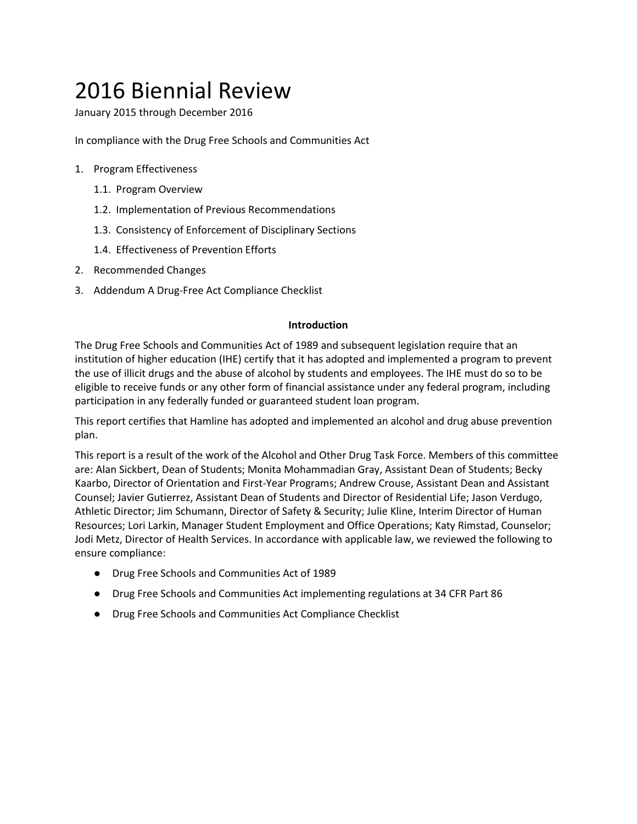# 2016 Biennial Review

January 2015 through December 2016

In compliance with the Drug Free Schools and Communities Act

- 1. Program Effectiveness
	- 1.1. Program Overview
	- 1.2. Implementation of Previous Recommendations
	- 1.3. Consistency of Enforcement of Disciplinary Sections
	- 1.4. Effectiveness of Prevention Efforts
- 2. Recommended Changes
- 3. Addendum A Drug-Free Act Compliance Checklist

#### **Introduction**

The Drug Free Schools and Communities Act of 1989 and subsequent legislation require that an institution of higher education (IHE) certify that it has adopted and implemented a program to prevent the use of illicit drugs and the abuse of alcohol by students and employees. The IHE must do so to be eligible to receive funds or any other form of financial assistance under any federal program, including participation in any federally funded or guaranteed student loan program.

This report certifies that Hamline has adopted and implemented an alcohol and drug abuse prevention plan.

This report is a result of the work of the Alcohol and Other Drug Task Force. Members of this committee are: Alan Sickbert, Dean of Students; Monita Mohammadian Gray, Assistant Dean of Students; Becky Kaarbo, Director of Orientation and First-Year Programs; Andrew Crouse, Assistant Dean and Assistant Counsel; Javier Gutierrez, Assistant Dean of Students and Director of Residential Life; Jason Verdugo, Athletic Director; Jim Schumann, Director of Safety & Security; Julie Kline, Interim Director of Human Resources; Lori Larkin, Manager Student Employment and Office Operations; Katy Rimstad, Counselor; Jodi Metz, Director of Health Services. In accordance with applicable law, we reviewed the following to ensure compliance:

- Drug Free Schools and Communities Act of 1989
- Drug Free Schools and Communities Act implementing regulations at 34 CFR Part 86
- Drug Free Schools and Communities Act Compliance Checklist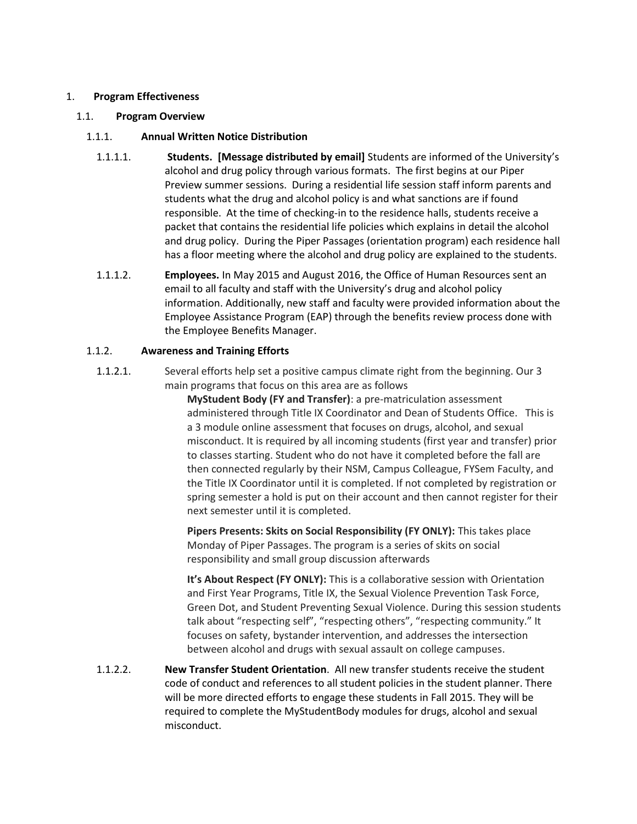#### 1. **Program Effectiveness**

#### 1.1. **Program Overview**

#### 1.1.1. **Annual Written Notice Distribution**

- 1.1.1.1. **Students. [Message distributed by email]** Students are informed of the University's alcohol and drug policy through various formats. The first begins at our Piper Preview summer sessions. During a residential life session staff inform parents and students what the drug and alcohol policy is and what sanctions are if found responsible. At the time of checking-in to the residence halls, students receive a packet that contains the residential life policies which explains in detail the alcohol and drug policy. During the Piper Passages (orientation program) each residence hall has a floor meeting where the alcohol and drug policy are explained to the students.
- 1.1.1.2. **Employees.** In May 2015 and August 2016, the Office of Human Resources sent an email to all faculty and staff with the University's drug and alcohol policy information. Additionally, new staff and faculty were provided information about the Employee Assistance Program (EAP) through the benefits review process done with the Employee Benefits Manager.

# 1.1.2. **Awareness and Training Efforts**

1.1.2.1. Several efforts help set a positive campus climate right from the beginning. Our 3 main programs that focus on this area are as follows

> **MyStudent Body (FY and Transfer)**: a pre-matriculation assessment administered through Title IX Coordinator and Dean of Students Office. This is a 3 module online assessment that focuses on drugs, alcohol, and sexual misconduct. It is required by all incoming students (first year and transfer) prior to classes starting. Student who do not have it completed before the fall are then connected regularly by their NSM, Campus Colleague, FYSem Faculty, and the Title IX Coordinator until it is completed. If not completed by registration or spring semester a hold is put on their account and then cannot register for their next semester until it is completed.

**Pipers Presents: Skits on Social Responsibility (FY ONLY):** This takes place Monday of Piper Passages. The program is a series of skits on social responsibility and small group discussion afterwards

**It's About Respect (FY ONLY):** This is a collaborative session with Orientation and First Year Programs, Title IX, the Sexual Violence Prevention Task Force, Green Dot, and Student Preventing Sexual Violence. During this session students talk about "respecting self", "respecting others", "respecting community." It focuses on safety, bystander intervention, and addresses the intersection between alcohol and drugs with sexual assault on college campuses.

1.1.2.2. **New Transfer Student Orientation**. All new transfer students receive the student code of conduct and references to all student policies in the student planner. There will be more directed efforts to engage these students in Fall 2015. They will be required to complete the MyStudentBody modules for drugs, alcohol and sexual misconduct.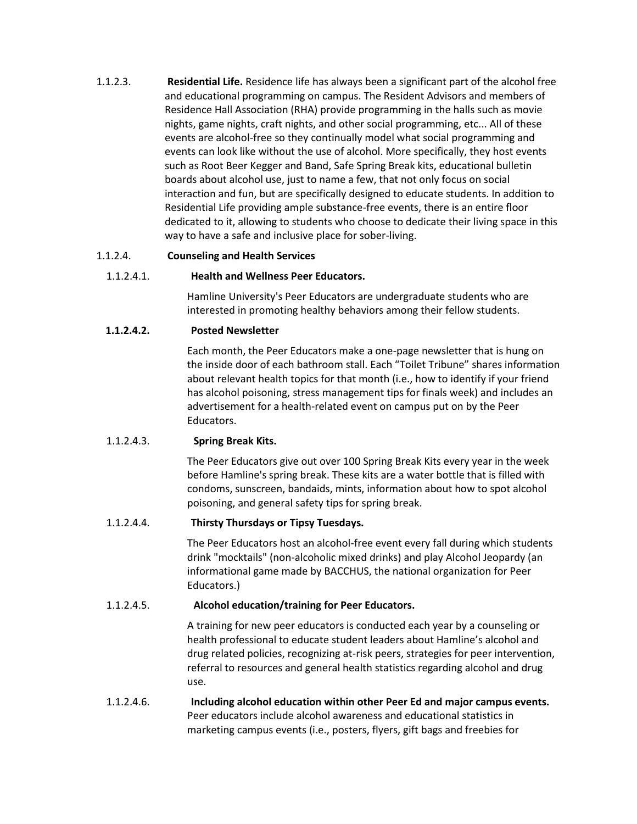1.1.2.3. **Residential Life.** Residence life has always been a significant part of the alcohol free and educational programming on campus. The Resident Advisors and members of Residence Hall Association (RHA) provide programming in the halls such as movie nights, game nights, craft nights, and other social programming, etc... All of these events are alcohol-free so they continually model what social programming and events can look like without the use of alcohol. More specifically, they host events such as Root Beer Kegger and Band, Safe Spring Break kits, educational bulletin boards about alcohol use, just to name a few, that not only focus on social interaction and fun, but are specifically designed to educate students. In addition to Residential Life providing ample substance-free events, there is an entire floor dedicated to it, allowing to students who choose to dedicate their living space in this way to have a safe and inclusive place for sober-living.

#### 1.1.2.4. **Counseling and Health Services**

#### 1.1.2.4.1. **Health and Wellness Peer Educators.**

Hamline University's Peer Educators are undergraduate students who are interested in promoting healthy behaviors among their fellow students.

#### **1.1.2.4.2. Posted Newsletter**

Each month, the Peer Educators make a one-page newsletter that is hung on the inside door of each bathroom stall. Each "Toilet Tribune" shares information about relevant health topics for that month (i.e., how to identify if your friend has alcohol poisoning, stress management tips for finals week) and includes an advertisement for a health-related event on campus put on by the Peer Educators.

#### 1.1.2.4.3. **Spring Break Kits.**

The Peer Educators give out over 100 Spring Break Kits every year in the week before Hamline's spring break. These kits are a water bottle that is filled with condoms, sunscreen, bandaids, mints, information about how to spot alcohol poisoning, and general safety tips for spring break.

#### 1.1.2.4.4. **Thirsty Thursdays or Tipsy Tuesdays.**

The Peer Educators host an alcohol-free event every fall during which students drink "mocktails" (non-alcoholic mixed drinks) and play Alcohol Jeopardy (an informational game made by BACCHUS, the national organization for Peer Educators.)

#### 1.1.2.4.5. **Alcohol education/training for Peer Educators.**

A training for new peer educators is conducted each year by a counseling or health professional to educate student leaders about Hamline's alcohol and drug related policies, recognizing at-risk peers, strategies for peer intervention, referral to resources and general health statistics regarding alcohol and drug use.

# 1.1.2.4.6. **Including alcohol education within other Peer Ed and major campus events.** Peer educators include alcohol awareness and educational statistics in marketing campus events (i.e., posters, flyers, gift bags and freebies for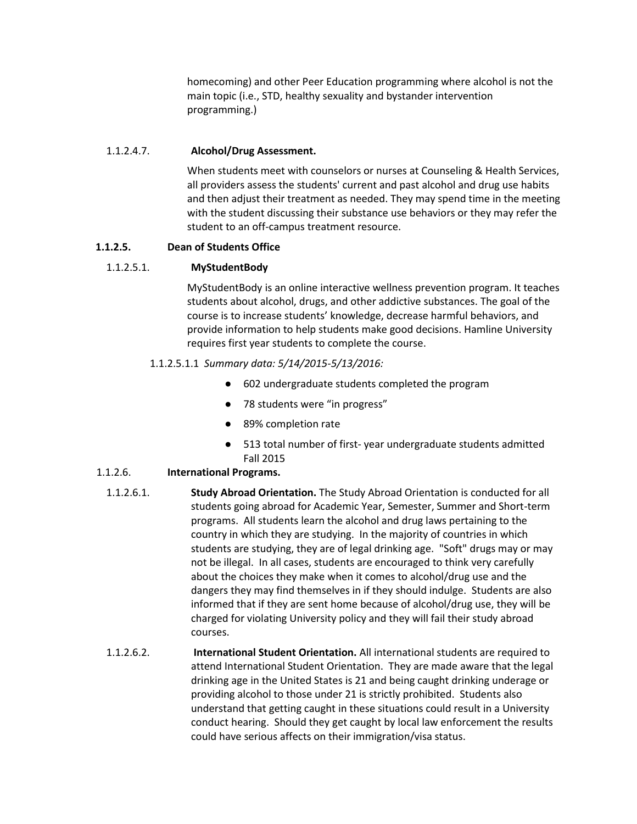homecoming) and other Peer Education programming where alcohol is not the main topic (i.e., STD, healthy sexuality and bystander intervention programming.)

# 1.1.2.4.7. **Alcohol/Drug Assessment.**

When students meet with counselors or nurses at Counseling & Health Services, all providers assess the students' current and past alcohol and drug use habits and then adjust their treatment as needed. They may spend time in the meeting with the student discussing their substance use behaviors or they may refer the student to an off-campus treatment resource.

# **1.1.2.5. Dean of Students Office**

# 1.1.2.5.1. **MyStudentBody**

MyStudentBody is an online interactive wellness prevention program. It teaches students about alcohol, drugs, and other addictive substances. The goal of the course is to increase students' knowledge, decrease harmful behaviors, and provide information to help students make good decisions. Hamline University requires first year students to complete the course.

# 1.1.2.5.1.1 *Summary data: 5/14/2015-5/13/2016:*

- 602 undergraduate students completed the program
- 78 students were "in progress"
- 89% completion rate
- 513 total number of first- year undergraduate students admitted Fall 2015

# 1.1.2.6. **International Programs.**

- 1.1.2.6.1. **Study Abroad Orientation.** The Study Abroad Orientation is conducted for all students going abroad for Academic Year, Semester, Summer and Short-term programs. All students learn the alcohol and drug laws pertaining to the country in which they are studying. In the majority of countries in which students are studying, they are of legal drinking age. "Soft" drugs may or may not be illegal. In all cases, students are encouraged to think very carefully about the choices they make when it comes to alcohol/drug use and the dangers they may find themselves in if they should indulge. Students are also informed that if they are sent home because of alcohol/drug use, they will be charged for violating University policy and they will fail their study abroad courses.
- 1.1.2.6.2. **International Student Orientation.** All international students are required to attend International Student Orientation. They are made aware that the legal drinking age in the United States is 21 and being caught drinking underage or providing alcohol to those under 21 is strictly prohibited. Students also understand that getting caught in these situations could result in a University conduct hearing. Should they get caught by local law enforcement the results could have serious affects on their immigration/visa status.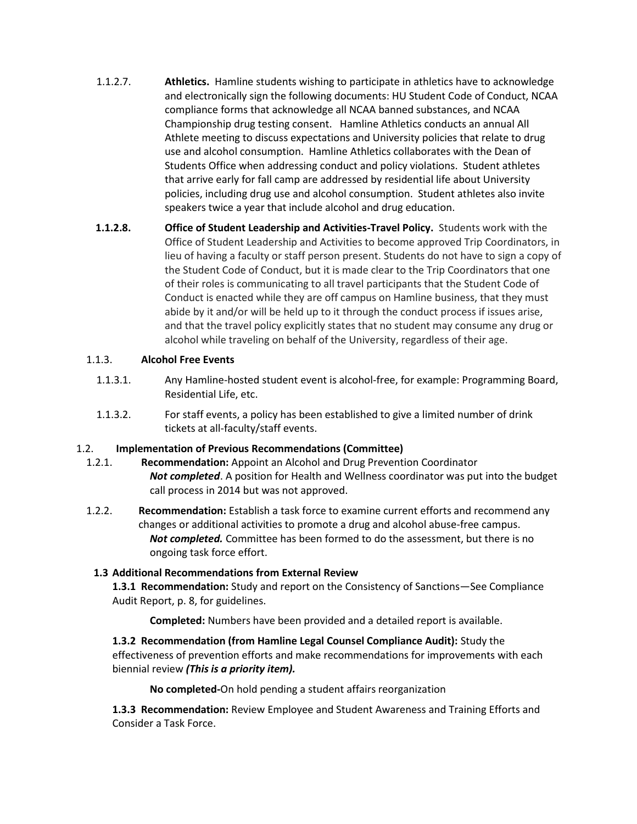- 1.1.2.7. **Athletics.** Hamline students wishing to participate in athletics have to acknowledge and electronically sign the following documents: HU Student Code of Conduct, NCAA compliance forms that acknowledge all NCAA banned substances, and NCAA Championship drug testing consent. Hamline Athletics conducts an annual All Athlete meeting to discuss expectations and University policies that relate to drug use and alcohol consumption. Hamline Athletics collaborates with the Dean of Students Office when addressing conduct and policy violations. Student athletes that arrive early for fall camp are addressed by residential life about University policies, including drug use and alcohol consumption. Student athletes also invite speakers twice a year that include alcohol and drug education.
- **1.1.2.8. Office of Student Leadership and Activities-Travel Policy.** Students work with the Office of Student Leadership and Activities to become approved Trip Coordinators, in lieu of having a faculty or staff person present. Students do not have to sign a copy of the Student Code of Conduct, but it is made clear to the Trip Coordinators that one of their roles is communicating to all travel participants that the Student Code of Conduct is enacted while they are off campus on Hamline business, that they must abide by it and/or will be held up to it through the conduct process if issues arise, and that the travel policy explicitly states that no student may consume any drug or alcohol while traveling on behalf of the University, regardless of their age.

# 1.1.3. **Alcohol Free Events**

- 1.1.3.1. Any Hamline-hosted student event is alcohol-free, for example: Programming Board, Residential Life, etc.
- 1.1.3.2. For staff events, a policy has been established to give a limited number of drink tickets at all-faculty/staff events.

# 1.2. **Implementation of Previous Recommendations (Committee)**

- 1.2.1. **Recommendation:** Appoint an Alcohol and Drug Prevention Coordinator *Not completed*. A position for Health and Wellness coordinator was put into the budget call process in 2014 but was not approved.
- 1.2.2. **Recommendation:** Establish a task force to examine current efforts and recommend any changes or additional activities to promote a drug and alcohol abuse-free campus. *Not completed.* Committee has been formed to do the assessment, but there is no ongoing task force effort.

# **1.3 Additional Recommendations from External Review**

**1.3.1 Recommendation:** Study and report on the Consistency of Sanctions—See Compliance Audit Report, p. 8, for guidelines.

**Completed:** Numbers have been provided and a detailed report is available.

**1.3.2 Recommendation (from Hamline Legal Counsel Compliance Audit):** Study the effectiveness of prevention efforts and make recommendations for improvements with each biennial review *(This is a priority item).*

**No completed-**On hold pending a student affairs reorganization

**1.3.3 Recommendation:** Review Employee and Student Awareness and Training Efforts and Consider a Task Force.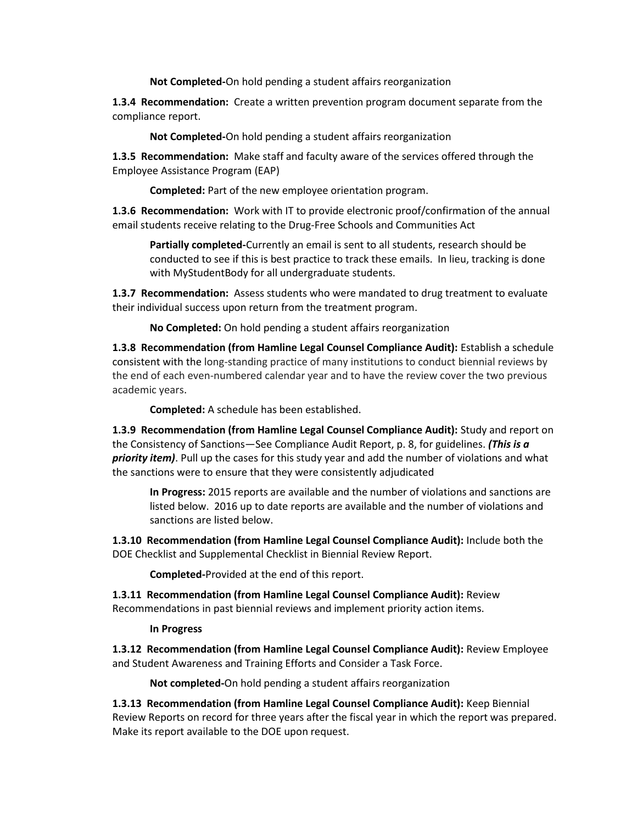**Not Completed-**On hold pending a student affairs reorganization

**1.3.4 Recommendation:** Create a written prevention program document separate from the compliance report.

**Not Completed-**On hold pending a student affairs reorganization

**1.3.5 Recommendation:** Make staff and faculty aware of the services offered through the Employee Assistance Program (EAP)

**Completed:** Part of the new employee orientation program.

**1.3.6 Recommendation:** Work with IT to provide electronic proof/confirmation of the annual email students receive relating to the Drug-Free Schools and Communities Act

**Partially completed-**Currently an email is sent to all students, research should be conducted to see if this is best practice to track these emails. In lieu, tracking is done with MyStudentBody for all undergraduate students.

**1.3.7 Recommendation:** Assess students who were mandated to drug treatment to evaluate their individual success upon return from the treatment program.

**No Completed:** On hold pending a student affairs reorganization

**1.3.8 Recommendation (from Hamline Legal Counsel Compliance Audit):** Establish a schedule consistent with the long-standing practice of many institutions to conduct biennial reviews by the end of each even-numbered calendar year and to have the review cover the two previous academic years.

**Completed:** A schedule has been established.

**1.3.9 Recommendation (from Hamline Legal Counsel Compliance Audit):** Study and report on the Consistency of Sanctions—See Compliance Audit Report, p. 8, for guidelines. *(This is a priority item)*. Pull up the cases for this study year and add the number of violations and what the sanctions were to ensure that they were consistently adjudicated

**In Progress:** 2015 reports are available and the number of violations and sanctions are listed below. 2016 up to date reports are available and the number of violations and sanctions are listed below.

**1.3.10 Recommendation (from Hamline Legal Counsel Compliance Audit):** Include both the DOE Checklist and Supplemental Checklist in Biennial Review Report.

**Completed-**Provided at the end of this report.

**1.3.11 Recommendation (from Hamline Legal Counsel Compliance Audit):** Review Recommendations in past biennial reviews and implement priority action items.

#### **In Progress**

**1.3.12 Recommendation (from Hamline Legal Counsel Compliance Audit):** Review Employee and Student Awareness and Training Efforts and Consider a Task Force.

**Not completed-**On hold pending a student affairs reorganization

**1.3.13 Recommendation (from Hamline Legal Counsel Compliance Audit):** Keep Biennial Review Reports on record for three years after the fiscal year in which the report was prepared. Make its report available to the DOE upon request.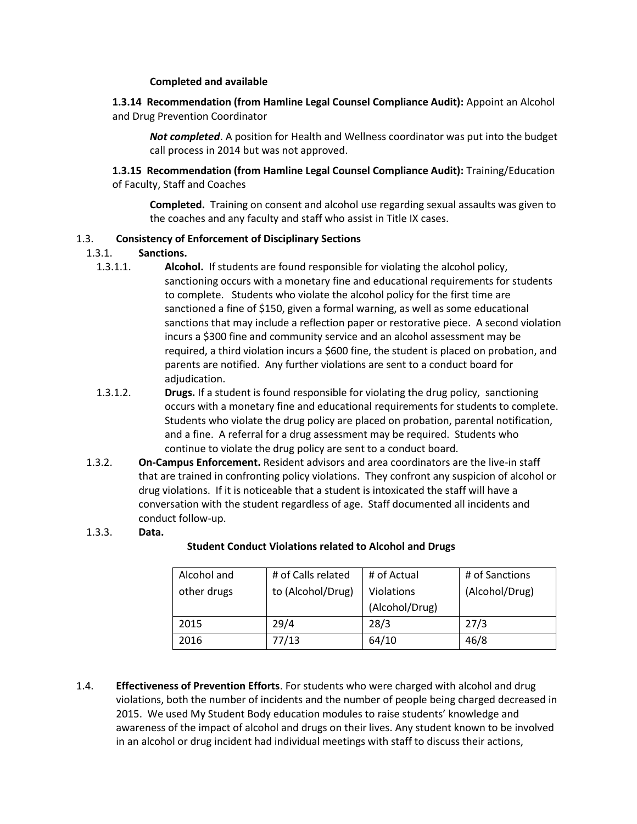#### **Completed and available**

# **1.3.14 Recommendation (from Hamline Legal Counsel Compliance Audit):** Appoint an Alcohol and Drug Prevention Coordinator

*Not completed*. A position for Health and Wellness coordinator was put into the budget call process in 2014 but was not approved.

**1.3.15 Recommendation (from Hamline Legal Counsel Compliance Audit):** Training/Education of Faculty, Staff and Coaches

**Completed.** Training on consent and alcohol use regarding sexual assaults was given to the coaches and any faculty and staff who assist in Title IX cases.

#### 1.3. **Consistency of Enforcement of Disciplinary Sections**

#### 1.3.1. **Sanctions.**

- 1.3.1.1. **Alcohol.** If students are found responsible for violating the alcohol policy, sanctioning occurs with a monetary fine and educational requirements for students to complete. Students who violate the alcohol policy for the first time are sanctioned a fine of \$150, given a formal warning, as well as some educational sanctions that may include a reflection paper or restorative piece. A second violation incurs a \$300 fine and community service and an alcohol assessment may be required, a third violation incurs a \$600 fine, the student is placed on probation, and parents are notified. Any further violations are sent to a conduct board for adjudication.
- 1.3.1.2. **Drugs.** If a student is found responsible for violating the drug policy, sanctioning occurs with a monetary fine and educational requirements for students to complete. Students who violate the drug policy are placed on probation, parental notification, and a fine. A referral for a drug assessment may be required. Students who continue to violate the drug policy are sent to a conduct board.
- 1.3.2. **On-Campus Enforcement.** Resident advisors and area coordinators are the live-in staff that are trained in confronting policy violations. They confront any suspicion of alcohol or drug violations. If it is noticeable that a student is intoxicated the staff will have a conversation with the student regardless of age. Staff documented all incidents and conduct follow-up.

#### 1.3.3. **Data.**

#### **Student Conduct Violations related to Alcohol and Drugs**

| Alcohol and | # of Calls related | # of Actual    | # of Sanctions |
|-------------|--------------------|----------------|----------------|
| other drugs | to (Alcohol/Drug)  | Violations     | (Alcohol/Drug) |
|             |                    | (Alcohol/Drug) |                |
| 2015        | 29/4               | 28/3           | 27/3           |
| 2016        | 77/13              | 64/10          | 46/8           |

1.4. **Effectiveness of Prevention Efforts**. For students who were charged with alcohol and drug violations, both the number of incidents and the number of people being charged decreased in 2015. We used My Student Body education modules to raise students' knowledge and awareness of the impact of alcohol and drugs on their lives. Any student known to be involved in an alcohol or drug incident had individual meetings with staff to discuss their actions,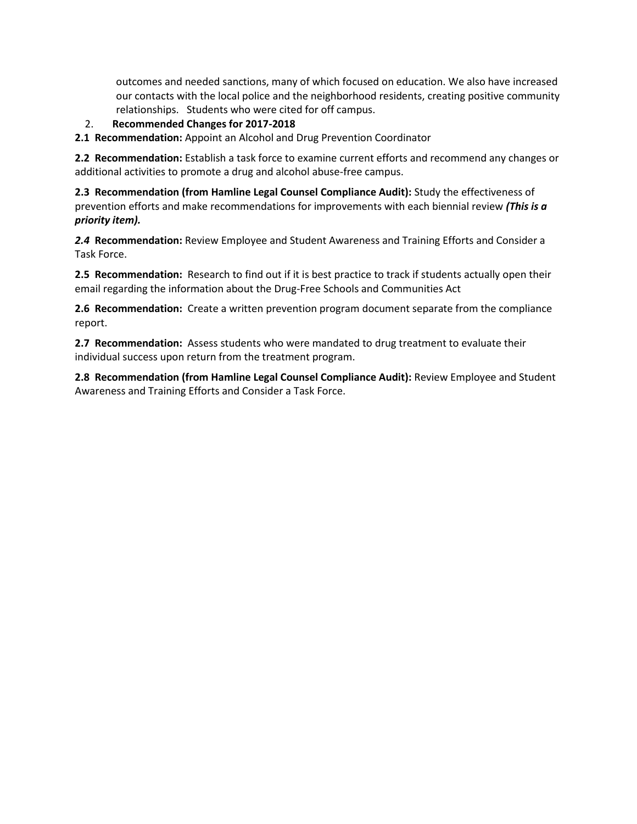outcomes and needed sanctions, many of which focused on education. We also have increased our contacts with the local police and the neighborhood residents, creating positive community relationships. Students who were cited for off campus.

2. **Recommended Changes for 2017-2018**

**2.1 Recommendation:** Appoint an Alcohol and Drug Prevention Coordinator

**2.2 Recommendation:** Establish a task force to examine current efforts and recommend any changes or additional activities to promote a drug and alcohol abuse-free campus.

**2.3 Recommendation (from Hamline Legal Counsel Compliance Audit):** Study the effectiveness of prevention efforts and make recommendations for improvements with each biennial review *(This is a priority item).*

*2.4* **Recommendation:** Review Employee and Student Awareness and Training Efforts and Consider a Task Force.

**2.5 Recommendation:** Research to find out if it is best practice to track if students actually open their email regarding the information about the Drug-Free Schools and Communities Act

**2.6 Recommendation:** Create a written prevention program document separate from the compliance report.

**2.7 Recommendation:** Assess students who were mandated to drug treatment to evaluate their individual success upon return from the treatment program.

**2.8 Recommendation (from Hamline Legal Counsel Compliance Audit):** Review Employee and Student Awareness and Training Efforts and Consider a Task Force.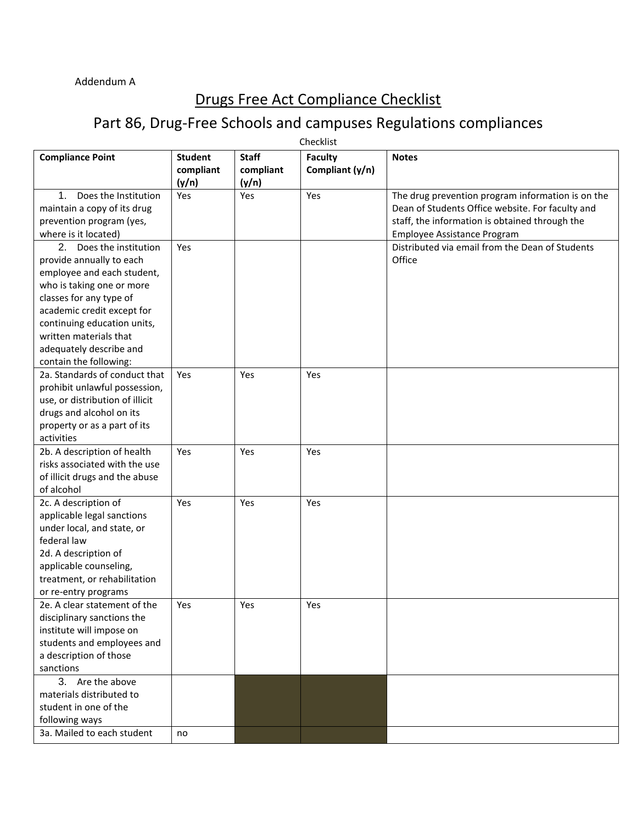# Drugs Free Act Compliance Checklist

# Part 86, Drug-Free Schools and campuses Regulations compliances

| Checklist                                                                                                                                                                                                                                                                             |                                      |                                    |                                   |                                                                                                                                                                                        |
|---------------------------------------------------------------------------------------------------------------------------------------------------------------------------------------------------------------------------------------------------------------------------------------|--------------------------------------|------------------------------------|-----------------------------------|----------------------------------------------------------------------------------------------------------------------------------------------------------------------------------------|
| <b>Compliance Point</b>                                                                                                                                                                                                                                                               | <b>Student</b><br>compliant<br>(y/n) | <b>Staff</b><br>compliant<br>(y/n) | <b>Faculty</b><br>Compliant (y/n) | <b>Notes</b>                                                                                                                                                                           |
| $1_{-}$<br>Does the Institution<br>maintain a copy of its drug<br>prevention program (yes,<br>where is it located)                                                                                                                                                                    | Yes                                  | Yes                                | Yes                               | The drug prevention program information is on the<br>Dean of Students Office website. For faculty and<br>staff, the information is obtained through the<br>Employee Assistance Program |
| 2. Does the institution<br>provide annually to each<br>employee and each student,<br>who is taking one or more<br>classes for any type of<br>academic credit except for<br>continuing education units,<br>written materials that<br>adequately describe and<br>contain the following: | Yes                                  |                                    |                                   | Distributed via email from the Dean of Students<br>Office                                                                                                                              |
| 2a. Standards of conduct that<br>prohibit unlawful possession,<br>use, or distribution of illicit<br>drugs and alcohol on its<br>property or as a part of its<br>activities                                                                                                           | <b>Yes</b>                           | Yes                                | Yes                               |                                                                                                                                                                                        |
| 2b. A description of health<br>risks associated with the use<br>of illicit drugs and the abuse<br>of alcohol                                                                                                                                                                          | Yes                                  | Yes                                | Yes                               |                                                                                                                                                                                        |
| 2c. A description of<br>applicable legal sanctions<br>under local, and state, or<br>federal law<br>2d. A description of<br>applicable counseling,<br>treatment, or rehabilitation<br>or re-entry programs                                                                             | Yes                                  | Yes                                | Yes                               |                                                                                                                                                                                        |
| 2e. A clear statement of the<br>disciplinary sanctions the<br>institute will impose on<br>students and employees and<br>a description of those<br>sanctions                                                                                                                           | Yes                                  | Yes                                | Yes                               |                                                                                                                                                                                        |
| 3. Are the above<br>materials distributed to<br>student in one of the<br>following ways<br>3a. Mailed to each student                                                                                                                                                                 |                                      |                                    |                                   |                                                                                                                                                                                        |
|                                                                                                                                                                                                                                                                                       | no                                   |                                    |                                   |                                                                                                                                                                                        |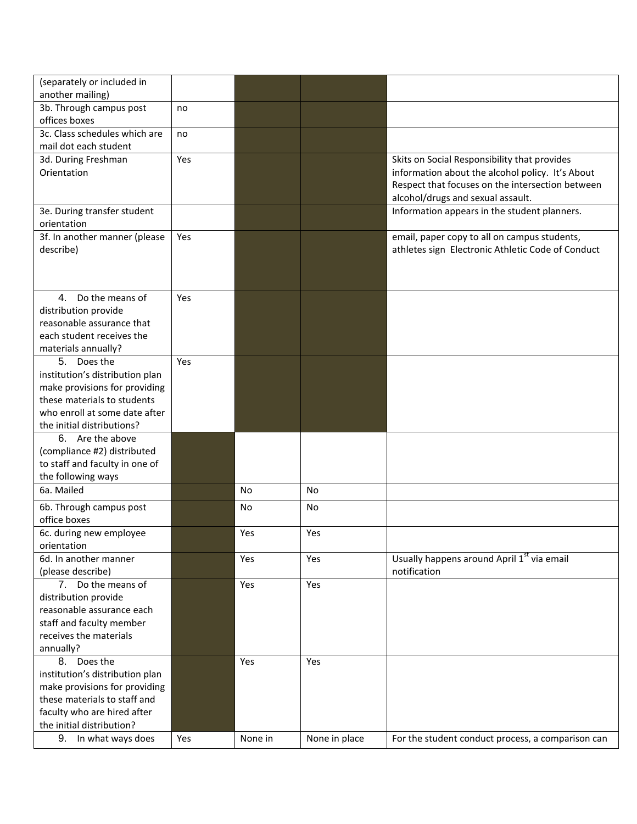| (separately or included in                            |     |           |               |                                                        |
|-------------------------------------------------------|-----|-----------|---------------|--------------------------------------------------------|
| another mailing)                                      |     |           |               |                                                        |
| 3b. Through campus post                               | no  |           |               |                                                        |
| offices boxes                                         |     |           |               |                                                        |
| 3c. Class schedules which are                         | no  |           |               |                                                        |
| mail dot each student                                 |     |           |               |                                                        |
| 3d. During Freshman                                   | Yes |           |               | Skits on Social Responsibility that provides           |
| Orientation                                           |     |           |               | information about the alcohol policy. It's About       |
|                                                       |     |           |               | Respect that focuses on the intersection between       |
|                                                       |     |           |               | alcohol/drugs and sexual assault.                      |
| 3e. During transfer student                           |     |           |               | Information appears in the student planners.           |
| orientation                                           |     |           |               |                                                        |
| 3f. In another manner (please                         | Yes |           |               | email, paper copy to all on campus students,           |
| describe)                                             |     |           |               | athletes sign Electronic Athletic Code of Conduct      |
|                                                       |     |           |               |                                                        |
|                                                       |     |           |               |                                                        |
| Do the means of<br>4.                                 | Yes |           |               |                                                        |
| distribution provide                                  |     |           |               |                                                        |
| reasonable assurance that                             |     |           |               |                                                        |
| each student receives the                             |     |           |               |                                                        |
| materials annually?                                   |     |           |               |                                                        |
| 5.<br>Does the                                        | Yes |           |               |                                                        |
| institution's distribution plan                       |     |           |               |                                                        |
| make provisions for providing                         |     |           |               |                                                        |
| these materials to students                           |     |           |               |                                                        |
| who enroll at some date after                         |     |           |               |                                                        |
| the initial distributions?                            |     |           |               |                                                        |
| 6. Are the above                                      |     |           |               |                                                        |
| (compliance #2) distributed                           |     |           |               |                                                        |
| to staff and faculty in one of                        |     |           |               |                                                        |
| the following ways                                    |     |           |               |                                                        |
| 6a. Mailed                                            |     | <b>No</b> | No            |                                                        |
| 6b. Through campus post                               |     | No        | No            |                                                        |
| office boxes                                          |     |           |               |                                                        |
| 6c. during new employee                               |     | Yes       | Yes           |                                                        |
| orientation                                           |     |           |               |                                                        |
| 6d. In another manner                                 |     | Yes       | Yes           | Usually happens around April 1 <sup>st</sup> via email |
| (please describe)                                     |     |           |               | notification                                           |
| 7. Do the means of                                    |     | Yes       | Yes           |                                                        |
| distribution provide                                  |     |           |               |                                                        |
| reasonable assurance each<br>staff and faculty member |     |           |               |                                                        |
| receives the materials                                |     |           |               |                                                        |
| annually?                                             |     |           |               |                                                        |
| Does the<br>8.                                        |     | Yes       | Yes           |                                                        |
| institution's distribution plan                       |     |           |               |                                                        |
| make provisions for providing                         |     |           |               |                                                        |
| these materials to staff and                          |     |           |               |                                                        |
| faculty who are hired after                           |     |           |               |                                                        |
| the initial distribution?                             |     |           |               |                                                        |
| 9. In what ways does                                  | Yes | None in   | None in place | For the student conduct process, a comparison can      |
|                                                       |     |           |               |                                                        |